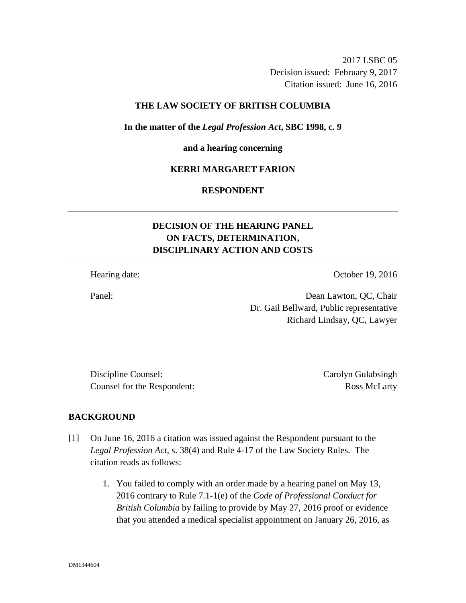2017 LSBC 05 Decision issued: February 9, 2017 Citation issued: June 16, 2016

## **THE LAW SOCIETY OF BRITISH COLUMBIA**

**In the matter of the** *Legal Profession Act***, SBC 1998, c. 9** 

#### **and a hearing concerning**

## **KERRI MARGARET FARION**

# **RESPONDENT**

# **DECISION OF THE HEARING PANEL ON FACTS, DETERMINATION, DISCIPLINARY ACTION AND COSTS**

Hearing date: October 19, 2016

Panel: Dean Lawton, QC, Chair Dr. Gail Bellward, Public representative Richard Lindsay, QC, Lawyer

Discipline Counsel: Carolyn Gulabsingh Counsel for the Respondent: Ross McLarty

#### **BACKGROUND**

- [1] On June 16, 2016 a citation was issued against the Respondent pursuant to the *Legal Profession Act*, s. 38(4) and Rule 4-17 of the Law Society Rules. The citation reads as follows:
	- 1. You failed to comply with an order made by a hearing panel on May 13, 2016 contrary to Rule 7.1-1(e) of the *Code of Professional Conduct for British Columbia* by failing to provide by May 27, 2016 proof or evidence that you attended a medical specialist appointment on January 26, 2016, as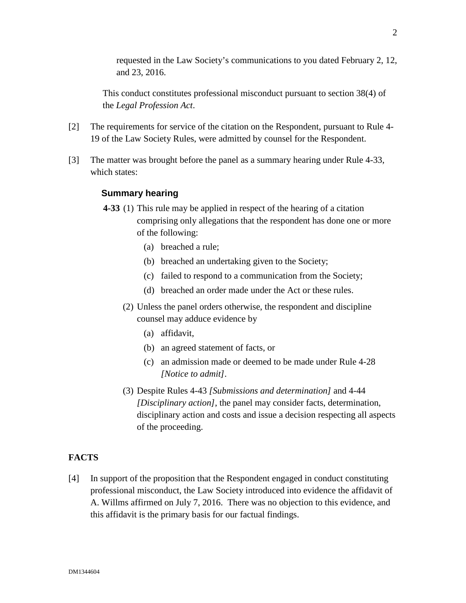requested in the Law Society's communications to you dated February 2, 12, and 23, 2016.

This conduct constitutes professional misconduct pursuant to section 38(4) of the *Legal Profession Act*.

- [2] The requirements for service of the citation on the Respondent, pursuant to Rule 4- 19 of the Law Society Rules, were admitted by counsel for the Respondent.
- [3] The matter was brought before the panel as a summary hearing under Rule 4-33, which states:

# **Summary hearing**

- **4-33** (1) This rule may be applied in respect of the hearing of a citation comprising only allegations that the respondent has done one or more of the following:
	- (a) breached a rule;
	- (b) breached an undertaking given to the Society;
	- (c) failed to respond to a communication from the Society;
	- (d) breached an order made under the Act or these rules.
	- (2) Unless the panel orders otherwise, the respondent and discipline counsel may adduce evidence by
		- (a) affidavit,
		- (b) an agreed statement of facts, or
		- (c) an admission made or deemed to be made under Rule 4-28 *[Notice to admit]*.
	- (3) Despite Rules 4-43 *[Submissions and determination]* and 4-44 *[Disciplinary action]*, the panel may consider facts, determination, disciplinary action and costs and issue a decision respecting all aspects of the proceeding.

# **FACTS**

[4] In support of the proposition that the Respondent engaged in conduct constituting professional misconduct, the Law Society introduced into evidence the affidavit of A. Willms affirmed on July 7, 2016. There was no objection to this evidence, and this affidavit is the primary basis for our factual findings.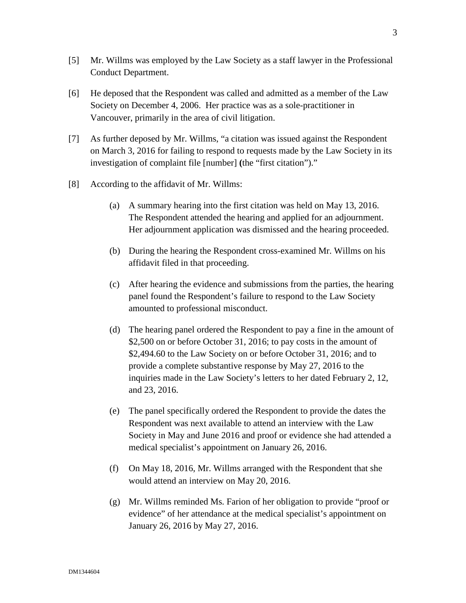- [5] Mr. Willms was employed by the Law Society as a staff lawyer in the Professional Conduct Department.
- [6] He deposed that the Respondent was called and admitted as a member of the Law Society on December 4, 2006. Her practice was as a sole-practitioner in Vancouver, primarily in the area of civil litigation.
- [7] As further deposed by Mr. Willms, "a citation was issued against the Respondent on March 3, 2016 for failing to respond to requests made by the Law Society in its investigation of complaint file [number] **(**the "first citation")."
- [8] According to the affidavit of Mr. Willms:
	- (a) A summary hearing into the first citation was held on May 13, 2016. The Respondent attended the hearing and applied for an adjournment. Her adjournment application was dismissed and the hearing proceeded.
	- (b) During the hearing the Respondent cross-examined Mr. Willms on his affidavit filed in that proceeding.
	- (c) After hearing the evidence and submissions from the parties, the hearing panel found the Respondent's failure to respond to the Law Society amounted to professional misconduct.
	- (d) The hearing panel ordered the Respondent to pay a fine in the amount of \$2,500 on or before October 31, 2016; to pay costs in the amount of \$2,494.60 to the Law Society on or before October 31, 2016; and to provide a complete substantive response by May 27, 2016 to the inquiries made in the Law Society's letters to her dated February 2, 12, and 23, 2016.
	- (e) The panel specifically ordered the Respondent to provide the dates the Respondent was next available to attend an interview with the Law Society in May and June 2016 and proof or evidence she had attended a medical specialist's appointment on January 26, 2016.
	- (f) On May 18, 2016, Mr. Willms arranged with the Respondent that she would attend an interview on May 20, 2016.
	- (g) Mr. Willms reminded Ms. Farion of her obligation to provide "proof or evidence" of her attendance at the medical specialist's appointment on January 26, 2016 by May 27, 2016.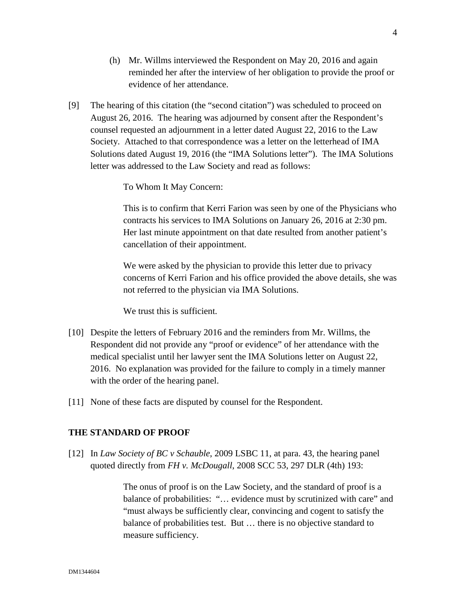- (h) Mr. Willms interviewed the Respondent on May 20, 2016 and again reminded her after the interview of her obligation to provide the proof or evidence of her attendance.
- [9] The hearing of this citation (the "second citation") was scheduled to proceed on August 26, 2016. The hearing was adjourned by consent after the Respondent's counsel requested an adjournment in a letter dated August 22, 2016 to the Law Society. Attached to that correspondence was a letter on the letterhead of IMA Solutions dated August 19, 2016 (the "IMA Solutions letter"). The IMA Solutions letter was addressed to the Law Society and read as follows:

To Whom It May Concern:

This is to confirm that Kerri Farion was seen by one of the Physicians who contracts his services to IMA Solutions on January 26, 2016 at 2:30 pm. Her last minute appointment on that date resulted from another patient's cancellation of their appointment.

We were asked by the physician to provide this letter due to privacy concerns of Kerri Farion and his office provided the above details, she was not referred to the physician via IMA Solutions.

We trust this is sufficient.

- [10] Despite the letters of February 2016 and the reminders from Mr. Willms, the Respondent did not provide any "proof or evidence" of her attendance with the medical specialist until her lawyer sent the IMA Solutions letter on August 22, 2016. No explanation was provided for the failure to comply in a timely manner with the order of the hearing panel.
- [11] None of these facts are disputed by counsel for the Respondent.

## **THE STANDARD OF PROOF**

[12] In *Law Society of BC v Schauble*, 2009 LSBC 11, at para. 43, the hearing panel quoted directly from *FH v. McDougall*, 2008 SCC 53, 297 DLR (4th) 193:

> The onus of proof is on the Law Society, and the standard of proof is a balance of probabilities: "… evidence must by scrutinized with care" and "must always be sufficiently clear, convincing and cogent to satisfy the balance of probabilities test. But … there is no objective standard to measure sufficiency.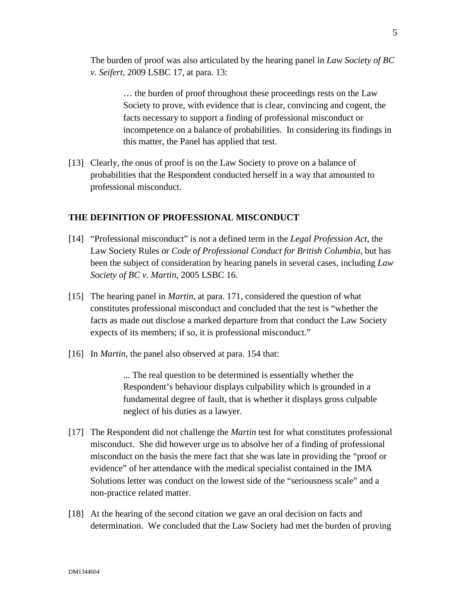The burden of proof was also articulated by the hearing panel in *Law Society of BC v. Seifert*, 2009 LSBC 17, at para. 13:

> … the burden of proof throughout these proceedings rests on the Law Society to prove, with evidence that is clear, convincing and cogent, the facts necessary to support a finding of professional misconduct or incompetence on a balance of probabilities. In considering its findings in this matter, the Panel has applied that test.

[13] Clearly, the onus of proof is on the Law Society to prove on a balance of probabilities that the Respondent conducted herself in a way that amounted to professional misconduct.

## **THE DEFINITION OF PROFESSIONAL MISCONDUCT**

- [14] "Professional misconduct" is not a defined term in the *Legal Profession Act*, the Law Society Rules or *Code of Professional Conduct for British Columbia*, but has been the subject of consideration by hearing panels in several cases, including *Law Society of BC v. Martin*, 2005 LSBC 16.
- [15] The hearing panel in *Martin*, at para. 171, considered the question of what constitutes professional misconduct and concluded that the test is "whether the facts as made out disclose a marked departure from that conduct the Law Society expects of its members; if so, it is professional misconduct."
- [16] In *Martin*, the panel also observed at para. 154 that:

... The real question to be determined is essentially whether the Respondent's behaviour displays culpability which is grounded in a fundamental degree of fault, that is whether it displays gross culpable neglect of his duties as a lawyer.

- [17] The Respondent did not challenge the *Martin* test for what constitutes professional misconduct. She did however urge us to absolve her of a finding of professional misconduct on the basis the mere fact that she was late in providing the "proof or evidence" of her attendance with the medical specialist contained in the IMA Solutions letter was conduct on the lowest side of the "seriousness scale" and a non-practice related matter.
- [18] At the hearing of the second citation we gave an oral decision on facts and determination. We concluded that the Law Society had met the burden of proving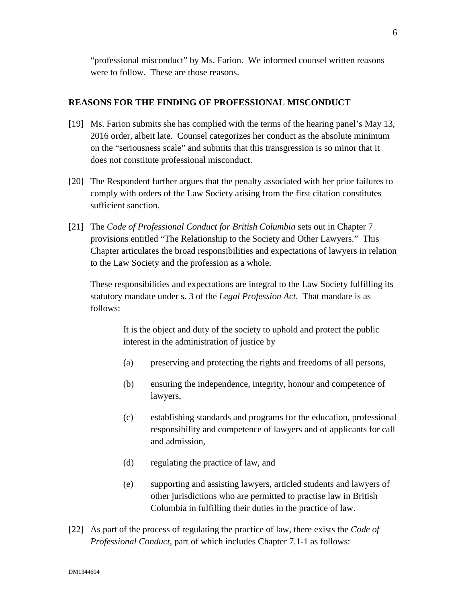"professional misconduct" by Ms. Farion. We informed counsel written reasons were to follow. These are those reasons.

#### **REASONS FOR THE FINDING OF PROFESSIONAL MISCONDUCT**

- [19] Ms. Farion submits she has complied with the terms of the hearing panel's May 13, 2016 order, albeit late. Counsel categorizes her conduct as the absolute minimum on the "seriousness scale" and submits that this transgression is so minor that it does not constitute professional misconduct.
- [20] The Respondent further argues that the penalty associated with her prior failures to comply with orders of the Law Society arising from the first citation constitutes sufficient sanction.
- [21] The *Code of Professional Conduct for British Columbia* sets out in Chapter 7 provisions entitled "The Relationship to the Society and Other Lawyers." This Chapter articulates the broad responsibilities and expectations of lawyers in relation to the Law Society and the profession as a whole.

These responsibilities and expectations are integral to the Law Society fulfilling its statutory mandate under s. 3 of the *Legal Profession Act*. That mandate is as follows:

> It is the object and duty of the society to uphold and protect the public interest in the administration of justice by

- (a) preserving and protecting the rights and freedoms of all persons,
- (b) ensuring the independence, integrity, honour and competence of lawyers,
- (c) establishing standards and programs for the education, professional responsibility and competence of lawyers and of applicants for call and admission,
- (d) regulating the practice of law, and
- (e) supporting and assisting lawyers, articled students and lawyers of other jurisdictions who are permitted to practise law in British Columbia in fulfilling their duties in the practice of law.
- [22] As part of the process of regulating the practice of law, there exists the *Code of Professional Conduct*, part of which includes Chapter 7.1-1 as follows: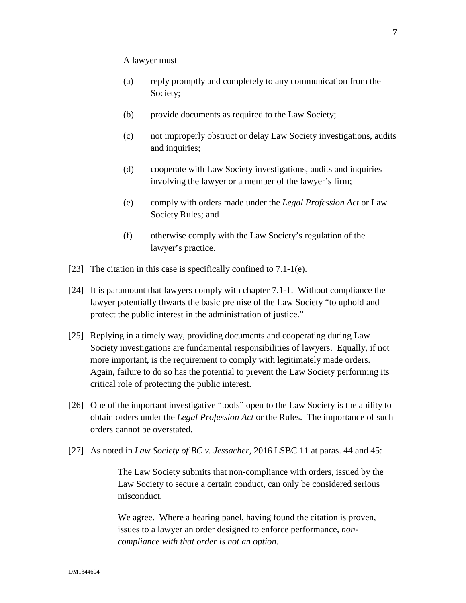#### A lawyer must

- (a) reply promptly and completely to any communication from the Society;
- (b) provide documents as required to the Law Society;
- (c) not improperly obstruct or delay Law Society investigations, audits and inquiries;
- (d) cooperate with Law Society investigations, audits and inquiries involving the lawyer or a member of the lawyer's firm;
- (e) comply with orders made under the *Legal Profession Act* or Law Society Rules; and
- (f) otherwise comply with the Law Society's regulation of the lawyer's practice.
- [23] The citation in this case is specifically confined to 7.1-1(e).
- [24] It is paramount that lawyers comply with chapter 7.1-1. Without compliance the lawyer potentially thwarts the basic premise of the Law Society "to uphold and protect the public interest in the administration of justice."
- [25] Replying in a timely way, providing documents and cooperating during Law Society investigations are fundamental responsibilities of lawyers. Equally, if not more important, is the requirement to comply with legitimately made orders. Again, failure to do so has the potential to prevent the Law Society performing its critical role of protecting the public interest.
- [26] One of the important investigative "tools" open to the Law Society is the ability to obtain orders under the *Legal Profession Act* or the Rules. The importance of such orders cannot be overstated.
- [27] As noted in *Law Society of BC v. Jessacher*, 2016 LSBC 11 at paras. 44 and 45:

 The Law Society submits that non-compliance with orders, issued by the Law Society to secure a certain conduct, can only be considered serious misconduct.

We agree. Where a hearing panel, having found the citation is proven, issues to a lawyer an order designed to enforce performance, *noncompliance with that order is not an option*.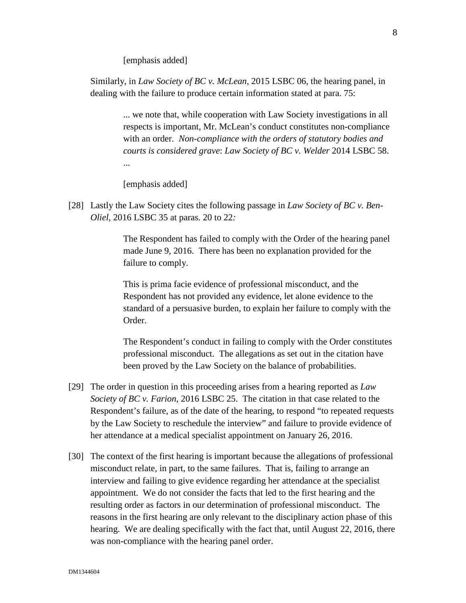[emphasis added]

Similarly, in *Law Society of BC v. McLean*, 2015 LSBC 06, the hearing panel, in dealing with the failure to produce certain information stated at para. 75:

> ... we note that, while cooperation with Law Society investigations in all respects is important, Mr. McLean's conduct constitutes non-compliance with an order. *Non-compliance with the orders of statutory bodies and courts is considered grave*: *Law Society of BC v. Welder* 2014 LSBC 58. ...

[emphasis added]

[28] Lastly the Law Society cites the following passage in *Law Society of BC v. Ben-Oliel*, 2016 LSBC 35 at paras. 20 to 22*:*

> The Respondent has failed to comply with the Order of the hearing panel made June 9, 2016. There has been no explanation provided for the failure to comply.

> This is prima facie evidence of professional misconduct, and the Respondent has not provided any evidence, let alone evidence to the standard of a persuasive burden, to explain her failure to comply with the Order.

> The Respondent's conduct in failing to comply with the Order constitutes professional misconduct. The allegations as set out in the citation have been proved by the Law Society on the balance of probabilities.

- [29] The order in question in this proceeding arises from a hearing reported as *Law Society of BC v. Farion*, 2016 LSBC 25. The citation in that case related to the Respondent's failure, as of the date of the hearing, to respond "to repeated requests by the Law Society to reschedule the interview" and failure to provide evidence of her attendance at a medical specialist appointment on January 26, 2016.
- [30] The context of the first hearing is important because the allegations of professional misconduct relate, in part, to the same failures. That is, failing to arrange an interview and failing to give evidence regarding her attendance at the specialist appointment. We do not consider the facts that led to the first hearing and the resulting order as factors in our determination of professional misconduct. The reasons in the first hearing are only relevant to the disciplinary action phase of this hearing. We are dealing specifically with the fact that, until August 22, 2016, there was non-compliance with the hearing panel order.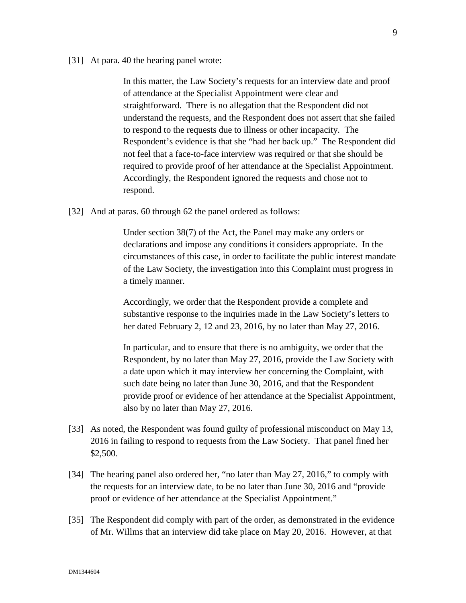[31] At para. 40 the hearing panel wrote:

In this matter, the Law Society's requests for an interview date and proof of attendance at the Specialist Appointment were clear and straightforward. There is no allegation that the Respondent did not understand the requests, and the Respondent does not assert that she failed to respond to the requests due to illness or other incapacity. The Respondent's evidence is that she "had her back up." The Respondent did not feel that a face-to-face interview was required or that she should be required to provide proof of her attendance at the Specialist Appointment. Accordingly, the Respondent ignored the requests and chose not to respond.

[32] And at paras. 60 through 62 the panel ordered as follows:

Under section 38(7) of the Act, the Panel may make any orders or declarations and impose any conditions it considers appropriate. In the circumstances of this case, in order to facilitate the public interest mandate of the Law Society, the investigation into this Complaint must progress in a timely manner.

Accordingly, we order that the Respondent provide a complete and substantive response to the inquiries made in the Law Society's letters to her dated February 2, 12 and 23, 2016, by no later than May 27, 2016.

In particular, and to ensure that there is no ambiguity, we order that the Respondent, by no later than May 27, 2016, provide the Law Society with a date upon which it may interview her concerning the Complaint, with such date being no later than June 30, 2016, and that the Respondent provide proof or evidence of her attendance at the Specialist Appointment, also by no later than May 27, 2016.

- [33] As noted, the Respondent was found guilty of professional misconduct on May 13, 2016 in failing to respond to requests from the Law Society. That panel fined her \$2,500.
- [34] The hearing panel also ordered her, "no later than May 27, 2016," to comply with the requests for an interview date, to be no later than June 30, 2016 and "provide proof or evidence of her attendance at the Specialist Appointment."
- [35] The Respondent did comply with part of the order, as demonstrated in the evidence of Mr. Willms that an interview did take place on May 20, 2016. However, at that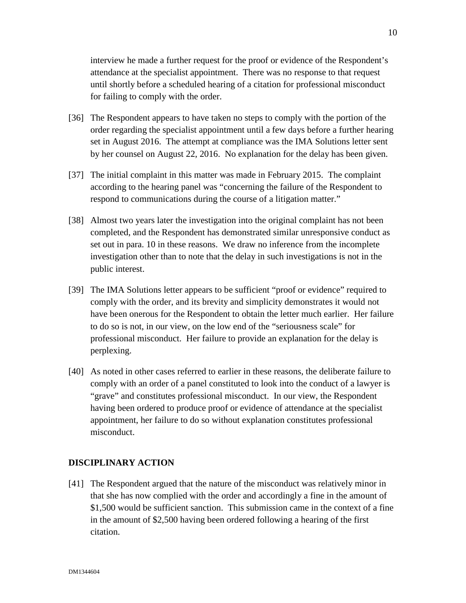interview he made a further request for the proof or evidence of the Respondent's attendance at the specialist appointment. There was no response to that request until shortly before a scheduled hearing of a citation for professional misconduct for failing to comply with the order.

- [36] The Respondent appears to have taken no steps to comply with the portion of the order regarding the specialist appointment until a few days before a further hearing set in August 2016. The attempt at compliance was the IMA Solutions letter sent by her counsel on August 22, 2016. No explanation for the delay has been given.
- [37] The initial complaint in this matter was made in February 2015. The complaint according to the hearing panel was "concerning the failure of the Respondent to respond to communications during the course of a litigation matter."
- [38] Almost two years later the investigation into the original complaint has not been completed, and the Respondent has demonstrated similar unresponsive conduct as set out in para. 10 in these reasons. We draw no inference from the incomplete investigation other than to note that the delay in such investigations is not in the public interest.
- [39] The IMA Solutions letter appears to be sufficient "proof or evidence" required to comply with the order, and its brevity and simplicity demonstrates it would not have been onerous for the Respondent to obtain the letter much earlier. Her failure to do so is not, in our view, on the low end of the "seriousness scale" for professional misconduct. Her failure to provide an explanation for the delay is perplexing.
- [40] As noted in other cases referred to earlier in these reasons, the deliberate failure to comply with an order of a panel constituted to look into the conduct of a lawyer is "grave" and constitutes professional misconduct. In our view, the Respondent having been ordered to produce proof or evidence of attendance at the specialist appointment, her failure to do so without explanation constitutes professional misconduct.

## **DISCIPLINARY ACTION**

[41] The Respondent argued that the nature of the misconduct was relatively minor in that she has now complied with the order and accordingly a fine in the amount of \$1,500 would be sufficient sanction. This submission came in the context of a fine in the amount of \$2,500 having been ordered following a hearing of the first citation.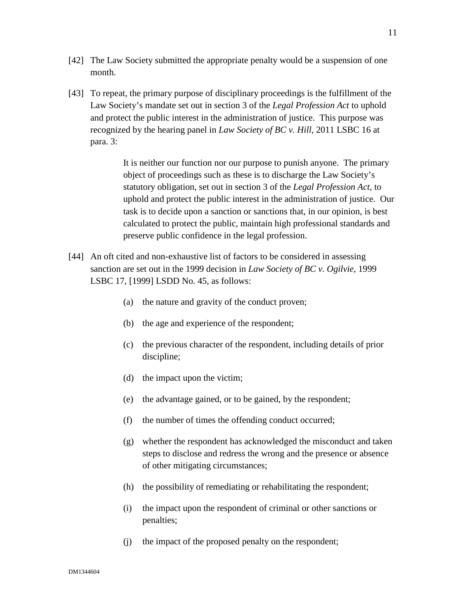- [42] The Law Society submitted the appropriate penalty would be a suspension of one month.
- [43] To repeat, the primary purpose of disciplinary proceedings is the fulfillment of the Law Society's mandate set out in section 3 of the *Legal Profession Act* to uphold and protect the public interest in the administration of justice. This purpose was recognized by the hearing panel in *Law Society of BC v. Hill*, 2011 LSBC 16 at para. 3:

It is neither our function nor our purpose to punish anyone. The primary object of proceedings such as these is to discharge the Law Society's statutory obligation, set out in section 3 of the *Legal Profession Act*, to uphold and protect the public interest in the administration of justice. Our task is to decide upon a sanction or sanctions that, in our opinion, is best calculated to protect the public, maintain high professional standards and preserve public confidence in the legal profession.

- [44] An oft cited and non-exhaustive list of factors to be considered in assessing sanction are set out in the 1999 decision in *Law Society of BC v. Ogilvie*, 1999 LSBC 17, [1999] LSDD No. 45, as follows:
	- (a) the nature and gravity of the conduct proven;
	- (b) the age and experience of the respondent;
	- (c) the previous character of the respondent, including details of prior discipline;
	- (d) the impact upon the victim;
	- (e) the advantage gained, or to be gained, by the respondent;
	- (f) the number of times the offending conduct occurred;
	- (g) whether the respondent has acknowledged the misconduct and taken steps to disclose and redress the wrong and the presence or absence of other mitigating circumstances;
	- (h) the possibility of remediating or rehabilitating the respondent;
	- (i) the impact upon the respondent of criminal or other sanctions or penalties;
	- (j) the impact of the proposed penalty on the respondent;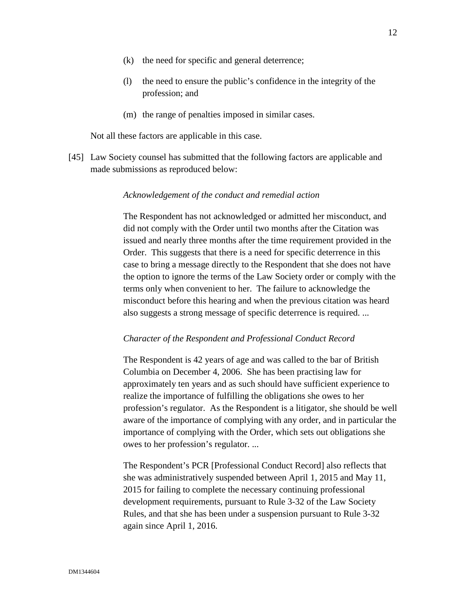- (k) the need for specific and general deterrence;
- (l) the need to ensure the public's confidence in the integrity of the profession; and
- (m) the range of penalties imposed in similar cases.

Not all these factors are applicable in this case.

[45] Law Society counsel has submitted that the following factors are applicable and made submissions as reproduced below:

#### *Acknowledgement of the conduct and remedial action*

The Respondent has not acknowledged or admitted her misconduct, and did not comply with the Order until two months after the Citation was issued and nearly three months after the time requirement provided in the Order. This suggests that there is a need for specific deterrence in this case to bring a message directly to the Respondent that she does not have the option to ignore the terms of the Law Society order or comply with the terms only when convenient to her. The failure to acknowledge the misconduct before this hearing and when the previous citation was heard also suggests a strong message of specific deterrence is required. ...

#### *Character of the Respondent and Professional Conduct Record*

The Respondent is 42 years of age and was called to the bar of British Columbia on December 4, 2006. She has been practising law for approximately ten years and as such should have sufficient experience to realize the importance of fulfilling the obligations she owes to her profession's regulator. As the Respondent is a litigator, she should be well aware of the importance of complying with any order, and in particular the importance of complying with the Order, which sets out obligations she owes to her profession's regulator. ...

The Respondent's PCR [Professional Conduct Record] also reflects that she was administratively suspended between April 1, 2015 and May 11, 2015 for failing to complete the necessary continuing professional development requirements, pursuant to Rule 3-32 of the Law Society Rules, and that she has been under a suspension pursuant to Rule 3-32 again since April 1, 2016.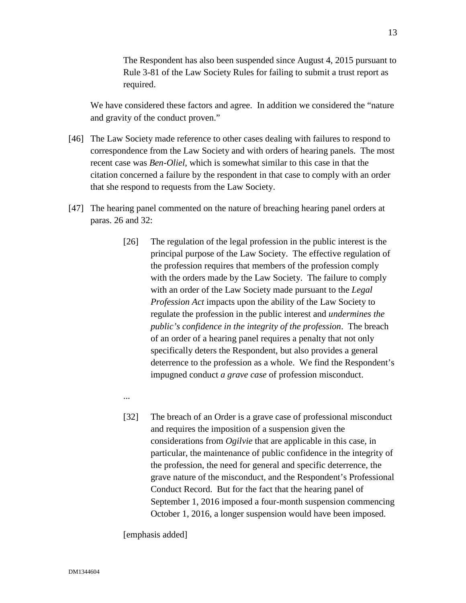The Respondent has also been suspended since August 4, 2015 pursuant to Rule 3-81 of the Law Society Rules for failing to submit a trust report as required.

We have considered these factors and agree. In addition we considered the "nature and gravity of the conduct proven."

- [46] The Law Society made reference to other cases dealing with failures to respond to correspondence from the Law Society and with orders of hearing panels. The most recent case was *Ben-Oliel*, which is somewhat similar to this case in that the citation concerned a failure by the respondent in that case to comply with an order that she respond to requests from the Law Society.
- [47] The hearing panel commented on the nature of breaching hearing panel orders at paras. 26 and 32:
	- [26] The regulation of the legal profession in the public interest is the principal purpose of the Law Society. The effective regulation of the profession requires that members of the profession comply with the orders made by the Law Society. The failure to comply with an order of the Law Society made pursuant to the *Legal Profession Act* impacts upon the ability of the Law Society to regulate the profession in the public interest and *undermines the public's confidence in the integrity of the profession*. The breach of an order of a hearing panel requires a penalty that not only specifically deters the Respondent, but also provides a general deterrence to the profession as a whole. We find the Respondent's impugned conduct *a grave case* of profession misconduct.
	- ...
	- [32] The breach of an Order is a grave case of professional misconduct and requires the imposition of a suspension given the considerations from *Ogilvie* that are applicable in this case, in particular, the maintenance of public confidence in the integrity of the profession, the need for general and specific deterrence, the grave nature of the misconduct, and the Respondent's Professional Conduct Record. But for the fact that the hearing panel of September 1, 2016 imposed a four-month suspension commencing October 1, 2016, a longer suspension would have been imposed.

[emphasis added]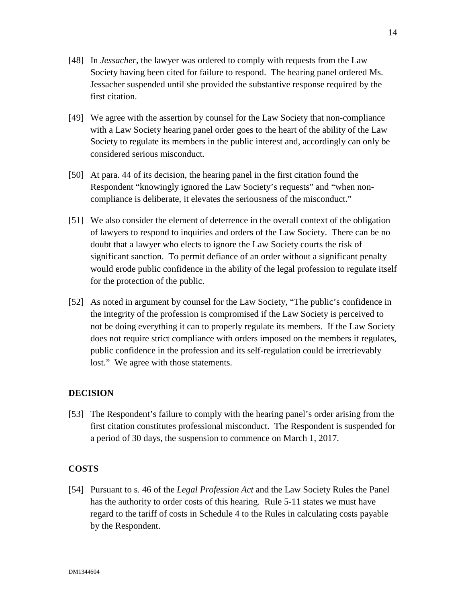- [49] We agree with the assertion by counsel for the Law Society that non-compliance with a Law Society hearing panel order goes to the heart of the ability of the Law Society to regulate its members in the public interest and, accordingly can only be considered serious misconduct.
- [50] At para. 44 of its decision, the hearing panel in the first citation found the Respondent "knowingly ignored the Law Society's requests" and "when noncompliance is deliberate, it elevates the seriousness of the misconduct."
- [51] We also consider the element of deterrence in the overall context of the obligation of lawyers to respond to inquiries and orders of the Law Society. There can be no doubt that a lawyer who elects to ignore the Law Society courts the risk of significant sanction. To permit defiance of an order without a significant penalty would erode public confidence in the ability of the legal profession to regulate itself for the protection of the public.
- [52] As noted in argument by counsel for the Law Society, "The public's confidence in the integrity of the profession is compromised if the Law Society is perceived to not be doing everything it can to properly regulate its members. If the Law Society does not require strict compliance with orders imposed on the members it regulates, public confidence in the profession and its self-regulation could be irretrievably lost." We agree with those statements.

# **DECISION**

[53] The Respondent's failure to comply with the hearing panel's order arising from the first citation constitutes professional misconduct. The Respondent is suspended for a period of 30 days, the suspension to commence on March 1, 2017.

# **COSTS**

[54] Pursuant to s. 46 of the *Legal Profession Act* and the Law Society Rules the Panel has the authority to order costs of this hearing. Rule 5-11 states we must have regard to the tariff of costs in Schedule 4 to the Rules in calculating costs payable by the Respondent.